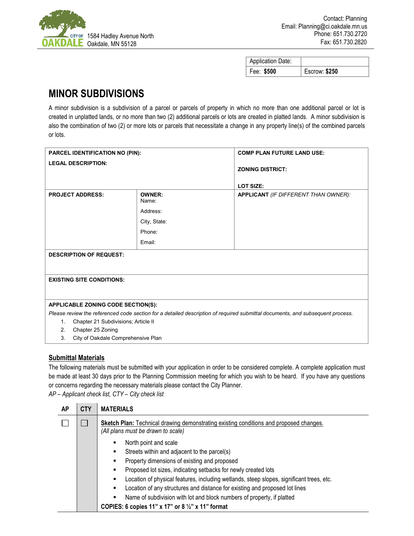

| <b>Application Date:</b> |                      |
|--------------------------|----------------------|
| Fee: \$500               | <b>Escrow: \$250</b> |

## **MINOR SUBDIVISIONS**

A minor subdivision is a subdivision of a parcel or parcels of property in which no more than one additional parcel or lot is created in unplatted lands, or no more than two (2) additional parcels or lots are created in platted lands. A minor subdivision is also the combination of two (2) or more lots or parcels that necessitate a change in any property line(s) of the combined parcels or lots.

| <b>PARCEL IDENTIFICATION NO (PIN):</b>    |                        | <b>COMP PLAN FUTURE LAND USE:</b>                                                                                             |  |  |  |
|-------------------------------------------|------------------------|-------------------------------------------------------------------------------------------------------------------------------|--|--|--|
| <b>LEGAL DESCRIPTION:</b>                 |                        | <b>ZONING DISTRICT:</b><br><b>LOT SIZE:</b>                                                                                   |  |  |  |
| <b>PROJECT ADDRESS:</b>                   | <b>OWNER:</b><br>Name: | <b>APPLICANT</b> (IF DIFFERENT THAN OWNER):                                                                                   |  |  |  |
|                                           | Address:               |                                                                                                                               |  |  |  |
|                                           | City, State:           |                                                                                                                               |  |  |  |
|                                           | Phone:                 |                                                                                                                               |  |  |  |
|                                           | Email:                 |                                                                                                                               |  |  |  |
| <b>DESCRIPTION OF REQUEST:</b>            |                        |                                                                                                                               |  |  |  |
| <b>EXISTING SITE CONDITIONS:</b>          |                        |                                                                                                                               |  |  |  |
| APPLICABLE ZONING CODE SECTION(S):        |                        |                                                                                                                               |  |  |  |
|                                           |                        | Please review the referenced code section for a detailed description of required submittal documents, and subsequent process. |  |  |  |
| Chapter 21 Subdivisions; Article II<br>1. |                        |                                                                                                                               |  |  |  |
| Chapter 25 Zoning<br>2.                   |                        |                                                                                                                               |  |  |  |
| City of Oakdale Comprehensive Plan<br>3.  |                        |                                                                                                                               |  |  |  |

## **Submittal Materials**

The following materials must be submitted with your application in order to be considered complete. A complete application must be made at least 30 days prior to the Planning Commission meeting for which you wish to be heard. If you have any questions or concerns regarding the necessary materials please contact the City Planner.

*AP – Applicant check list, CTY – City check list*

| AP | <b>CTY</b> | <b>MATERIALS</b>                                                                                                                    |  |  |
|----|------------|-------------------------------------------------------------------------------------------------------------------------------------|--|--|
|    |            | <b>Sketch Plan:</b> Technical drawing demonstrating existing conditions and proposed changes.<br>(All plans must be drawn to scale) |  |  |
|    |            | North point and scale<br>Streets within and adjacent to the parcel(s)<br>٠                                                          |  |  |
|    |            | Property dimensions of existing and proposed<br>٠                                                                                   |  |  |
|    |            | Proposed lot sizes, indicating setbacks for newly created lots<br>٠                                                                 |  |  |
|    |            | Location of physical features, including wetlands, steep slopes, significant trees, etc.<br>٠                                       |  |  |
|    |            | Location of any structures and distance for existing and proposed lot lines<br>٠                                                    |  |  |
|    |            | Name of subdivision with lot and block numbers of property, if platted<br>٠                                                         |  |  |
|    |            | COPIES: 6 copies 11" x 17" or 8 $\frac{1}{2}$ " x 11" format                                                                        |  |  |